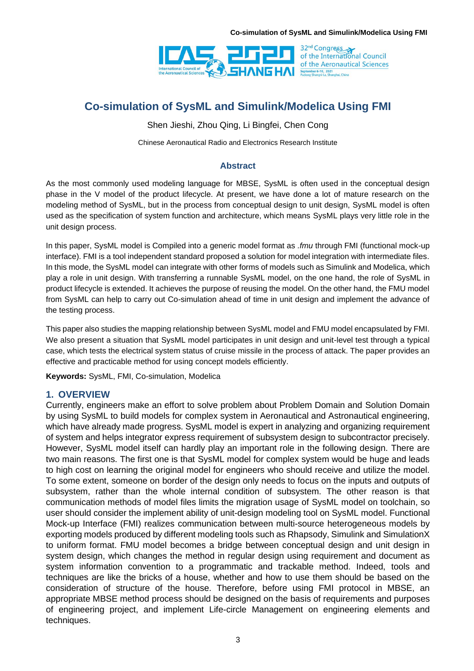

Shen Jieshi, Zhou Qing, Li Bingfei, Chen Cong

Chinese Aeronautical Radio and Electronics Research Institute

### **Abstract**

As the most commonly used modeling language for MBSE, SysML is often used in the conceptual design phase in the V model of the product lifecycle. At present, we have done a lot of mature research on the modeling method of SysML, but in the process from conceptual design to unit design, SysML model is often used as the specification of system function and architecture, which means SysML plays very little role in the unit design process.

In this paper, SysML model is Compiled into a generic model format as *.fmu* through FMI (functional mock-up interface). FMI is a tool independent standard proposed a solution for model integration with intermediate files. In this mode, the SysML model can integrate with other forms of models such as Simulink and Modelica, which play a role in unit design. With transferring a runnable SysML model, on the one hand, the role of SysML in product lifecycle is extended. It achieves the purpose of reusing the model. On the other hand, the FMU model from SysML can help to carry out Co-simulation ahead of time in unit design and implement the advance of the testing process.

This paper also studies the mapping relationship between SysML model and FMU model encapsulated by FMI. We also present a situation that SysML model participates in unit design and unit-level test through a typical case, which tests the electrical system status of cruise missile in the process of attack. The paper provides an effective and practicable method for using concept models efficiently.

**Keywords:** SysML, FMI, Co-simulation, Modelica

### **1. OVERVIEW**

Currently, engineers make an effort to solve problem about Problem Domain and Solution Domain by using SysML to build models for complex system in Aeronautical and Astronautical engineering, which have already made progress. SysML model is expert in analyzing and organizing requirement of system and helps integrator express requirement of subsystem design to subcontractor precisely. However, SysML model itself can hardly play an important role in the following design. There are two main reasons. The first one is that SysML model for complex system would be huge and leads to high cost on learning the original model for engineers who should receive and utilize the model. To some extent, someone on border of the design only needs to focus on the inputs and outputs of subsystem, rather than the whole internal condition of subsystem. The other reason is that communication methods of model files limits the migration usage of SysML model on toolchain, so user should consider the implement ability of unit-design modeling tool on SysML model. Functional Mock-up Interface (FMI) realizes communication between multi-source heterogeneous models by exporting models produced by different modeling tools such as Rhapsody, Simulink and SimulationX to uniform format. FMU model becomes a bridge between conceptual design and unit design in system design, which changes the method in regular design using requirement and document as system information convention to a programmatic and trackable method. Indeed, tools and techniques are like the bricks of a house, whether and how to use them should be based on the consideration of structure of the house. Therefore, before using FMI protocol in MBSE, an appropriate MBSE method process should be designed on the basis of requirements and purposes of engineering project, and implement Life-circle Management on engineering elements and techniques.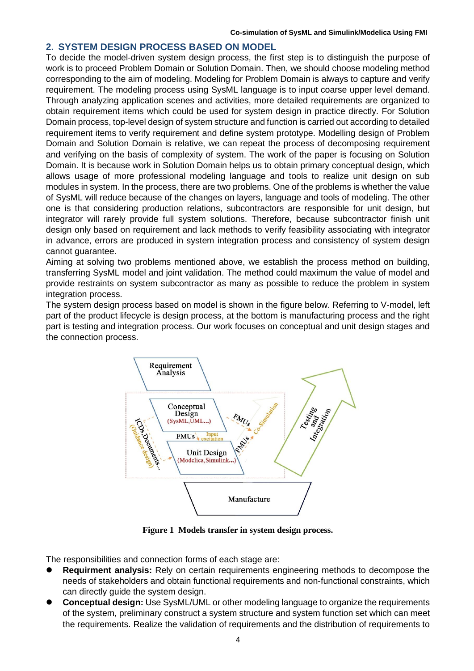### **2. SYSTEM DESIGN PROCESS BASED ON MODEL**

To decide the model-driven system design process, the first step is to distinguish the purpose of work is to proceed Problem Domain or Solution Domain. Then, we should choose modeling method corresponding to the aim of modeling. Modeling for Problem Domain is always to capture and verify requirement. The modeling process using SysML language is to input coarse upper level demand. Through analyzing application scenes and activities, more detailed requirements are organized to obtain requirement items which could be used for system design in practice directly. For Solution Domain process, top-level design of system structure and function is carried out according to detailed requirement items to verify requirement and define system prototype. Modelling design of Problem Domain and Solution Domain is relative, we can repeat the process of decomposing requirement and verifying on the basis of complexity of system. The work of the paper is focusing on Solution Domain. It is because work in Solution Domain helps us to obtain primary conceptual design, which allows usage of more professional modeling language and tools to realize unit design on sub modules in system. In the process, there are two problems. One of the problems is whether the value of SysML will reduce because of the changes on layers, language and tools of modeling. The other one is that considering production relations, subcontractors are responsible for unit design, but integrator will rarely provide full system solutions. Therefore, because subcontractor finish unit design only based on requirement and lack methods to verify feasibility associating with integrator in advance, errors are produced in system integration process and consistency of system design cannot guarantee.

Aiming at solving two problems mentioned above, we establish the process method on building, transferring SysML model and joint validation. The method could maximum the value of model and provide restraints on system subcontractor as many as possible to reduce the problem in system integration process.

The system design process based on model is shown in the figure below. Referring to V-model, left part of the product lifecycle is design process, at the bottom is manufacturing process and the right part is testing and integration process. Our work focuses on conceptual and unit design stages and the connection process.



**Figure 1 Models transfer in system design process.**

The responsibilities and connection forms of each stage are:

- ⚫ **Requirment analysis:** Rely on certain requirements engineering methods to decompose the needs of stakeholders and obtain functional requirements and non-functional constraints, which can directly guide the system design.
- ⚫ **Conceptual design:** Use SysML/UML or other modeling language to organize the requirements of the system, preliminary construct a system structure and system function set which can meet the requirements. Realize the validation of requirements and the distribution of requirements to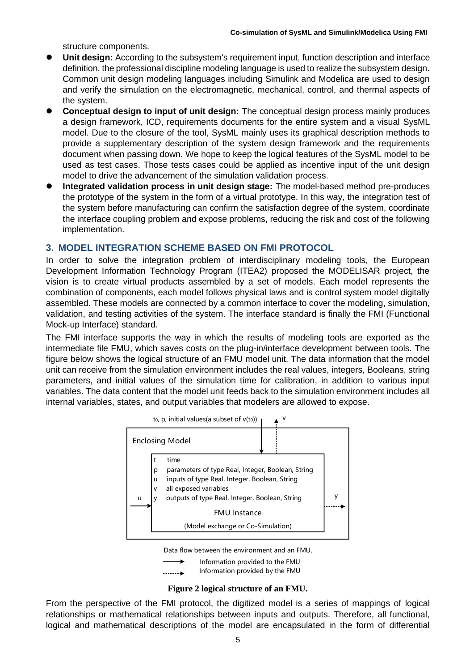structure components.

- **Unit design:** According to the subsystem's requirement input, function description and interface definition, the professional discipline modeling language is used to realize the subsystem design. Common unit design modeling languages including Simulink and Modelica are used to design and verify the simulation on the electromagnetic, mechanical, control, and thermal aspects of the system.
- ⚫ **Conceptual design to input of unit design:** The conceptual design process mainly produces a design framework, ICD, requirements documents for the entire system and a visual SysML model. Due to the closure of the tool, SysML mainly uses its graphical description methods to provide a supplementary description of the system design framework and the requirements document when passing down. We hope to keep the logical features of the SysML model to be used as test cases. Those tests cases could be applied as incentive input of the unit design model to drive the advancement of the simulation validation process.
- ⚫ **Integrated validation process in unit design stage:** The model-based method pre-produces the prototype of the system in the form of a virtual prototype. In this way, the integration test of the system before manufacturing can confirm the satisfaction degree of the system, coordinate the interface coupling problem and expose problems, reducing the risk and cost of the following implementation.

## **3. MODEL INTEGRATION SCHEME BASED ON FMI PROTOCOL**

In order to solve the integration problem of interdisciplinary modeling tools, the European Development Information Technology Program (ITEA2) proposed the MODELISAR project, the vision is to create virtual products assembled by a set of models. Each model represents the combination of components, each model follows physical laws and is control system model digitally assembled. These models are connected by a common interface to cover the modeling, simulation, validation, and testing activities of the system. The interface standard is finally the FMI (Functional Mock-up Interface) standard.

The FMI interface supports the way in which the results of modeling tools are exported as the intermediate file FMU, which saves costs on the plug-in/interface development between tools. The figure below shows the logical structure of an FMU model unit. The data information that the model unit can receive from the simulation environment includes the real values, integers, Booleans, string parameters, and initial values of the simulation time for calibration, in addition to various input variables. The data content that the model unit feeds back to the simulation environment includes all internal variables, states, and output variables that modelers are allowed to expose.



Data flow between the environment and an FMU.

Information provided to the FMU

Information provided by the FMU

#### **Figure 2 logical structure of an FMU.**

From the perspective of the FMI protocol, the digitized model is a series of mappings of logical relationships or mathematical relationships between inputs and outputs. Therefore, all functional, logical and mathematical descriptions of the model are encapsulated in the form of differential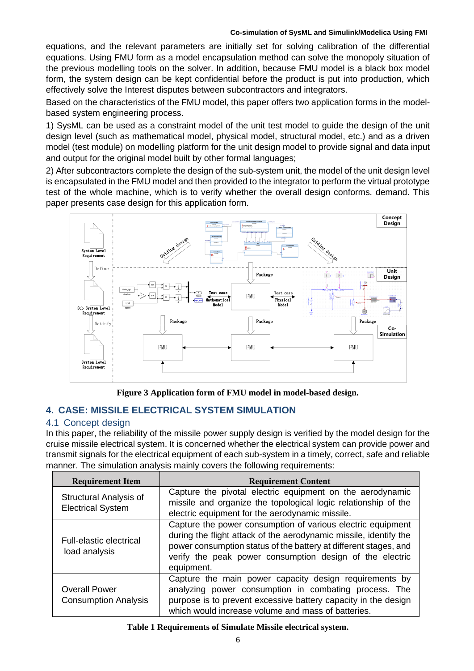equations, and the relevant parameters are initially set for solving calibration of the differential equations. Using FMU form as a model encapsulation method can solve the monopoly situation of the previous modelling tools on the solver. In addition, because FMU model is a black box model form, the system design can be kept confidential before the product is put into production, which effectively solve the Interest disputes between subcontractors and integrators.

Based on the characteristics of the FMU model, this paper offers two application forms in the modelbased system engineering process.

1) SysML can be used as a constraint model of the unit test model to guide the design of the unit design level (such as mathematical model, physical model, structural model, etc.) and as a driven model (test module) on modelling platform for the unit design model to provide signal and data input and output for the original model built by other formal languages;

2) After subcontractors complete the design of the sub-system unit, the model of the unit design level is encapsulated in the FMU model and then provided to the integrator to perform the virtual prototype test of the whole machine, which is to verify whether the overall design conforms. demand. This paper presents case design for this application form.



**Figure 3 Application form of FMU model in model-based design.**

## **4. CASE: MISSILE ELECTRICAL SYSTEM SIMULATION**

### 4.1 Concept design

In this paper, the reliability of the missile power supply design is verified by the model design for the cruise missile electrical system. It is concerned whether the electrical system can provide power and transmit signals for the electrical equipment of each sub-system in a timely, correct, safe and reliable manner. The simulation analysis mainly covers the following requirements:

| <b>Requirement Item</b>                             | <b>Requirement Content</b>                                                                                                                                                                                                                                                     |
|-----------------------------------------------------|--------------------------------------------------------------------------------------------------------------------------------------------------------------------------------------------------------------------------------------------------------------------------------|
| Structural Analysis of<br><b>Electrical System</b>  | Capture the pivotal electric equipment on the aerodynamic<br>missile and organize the topological logic relationship of the<br>electric equipment for the aerodynamic missile.                                                                                                 |
| <b>Full-elastic electrical</b><br>load analysis     | Capture the power consumption of various electric equipment<br>during the flight attack of the aerodynamic missile, identify the<br>power consumption status of the battery at different stages, and<br>verify the peak power consumption design of the electric<br>equipment. |
| <b>Overall Power</b><br><b>Consumption Analysis</b> | Capture the main power capacity design requirements by<br>analyzing power consumption in combating process. The<br>purpose is to prevent excessive battery capacity in the design<br>which would increase volume and mass of batteries.                                        |

#### **Table 1 Requirements of Simulate Missile electrical system.**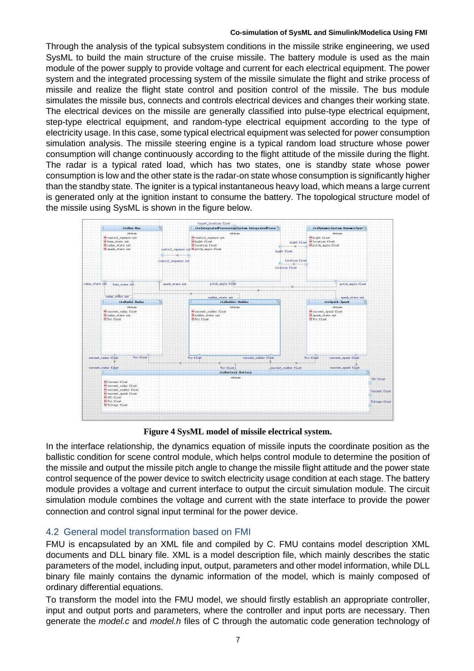Through the analysis of the typical subsystem conditions in the missile strike engineering, we used SysML to build the main structure of the cruise missile. The battery module is used as the main module of the power supply to provide voltage and current for each electrical equipment. The power system and the integrated processing system of the missile simulate the flight and strike process of missile and realize the flight state control and position control of the missile. The bus module simulates the missile bus, connects and controls electrical devices and changes their working state. The electrical devices on the missile are generally classified into pulse-type electrical equipment, step-type electrical equipment, and random-type electrical equipment according to the type of electricity usage. In this case, some typical electrical equipment was selected for power consumption simulation analysis. The missile steering engine is a typical random load structure whose power consumption will change continuously according to the flight attitude of the missile during the flight. The radar is a typical rated load, which has two states, one is standby state whose power consumption is low and the other state is the radar-on state whose consumption is significantly higher than the standby state. The igniter is a typical instantaneous heavy load, which means a large current is generated only at the ignition instant to consume the battery. The topological structure model of the missile using SysML is shown in the figure below.



**Figure 4 SysML model of missile electrical system.**

In the interface relationship, the dynamics equation of missile inputs the coordinate position as the ballistic condition for scene control module, which helps control module to determine the position of the missile and output the missile pitch angle to change the missile flight attitude and the power state control sequence of the power device to switch electricity usage condition at each stage. The battery module provides a voltage and current interface to output the circuit simulation module. The circuit simulation module combines the voltage and current with the state interface to provide the power connection and control signal input terminal for the power device.

## 4.2 General model transformation based on FMI

FMU is encapsulated by an XML file and compiled by C. FMU contains model description XML documents and DLL binary file. XML is a model description file, which mainly describes the static parameters of the model, including input, output, parameters and other model information, while DLL binary file mainly contains the dynamic information of the model, which is mainly composed of ordinary differential equations.

To transform the model into the FMU model, we should firstly establish an appropriate controller, input and output ports and parameters, where the controller and input ports are necessary. Then generate the *model.c* and *model.h* files of C through the automatic code generation technology of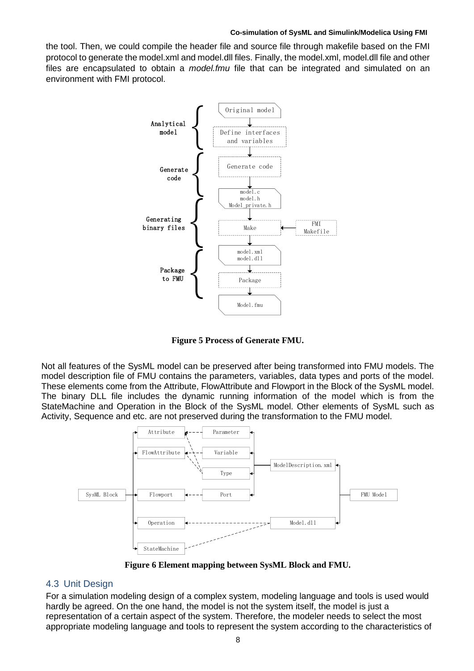the tool. Then, we could compile the header file and source file through makefile based on the FMI protocol to generate the model.xml and model.dll files. Finally, the model.xml, model.dll file and other files are encapsulated to obtain a *model.fmu* file that can be integrated and simulated on an environment with FMI protocol.

![](_page_5_Figure_2.jpeg)

**Figure 5 Process of Generate FMU.**

Not all features of the SysML model can be preserved after being transformed into FMU models. The model description file of FMU contains the parameters, variables, data types and ports of the model. These elements come from the Attribute, FlowAttribute and Flowport in the Block of the SysML model. The binary DLL file includes the dynamic running information of the model which is from the StateMachine and Operation in the Block of the SysML model. Other elements of SysML such as Activity, Sequence and etc. are not preserved during the transformation to the FMU model.

![](_page_5_Figure_5.jpeg)

**Figure 6 Element mapping between SysML Block and FMU.**

### 4.3 Unit Design

For a simulation modeling design of a complex system, modeling language and tools is used would hardly be agreed. On the one hand, the model is not the system itself, the model is just a representation of a certain aspect of the system. Therefore, the modeler needs to select the most appropriate modeling language and tools to represent the system according to the characteristics of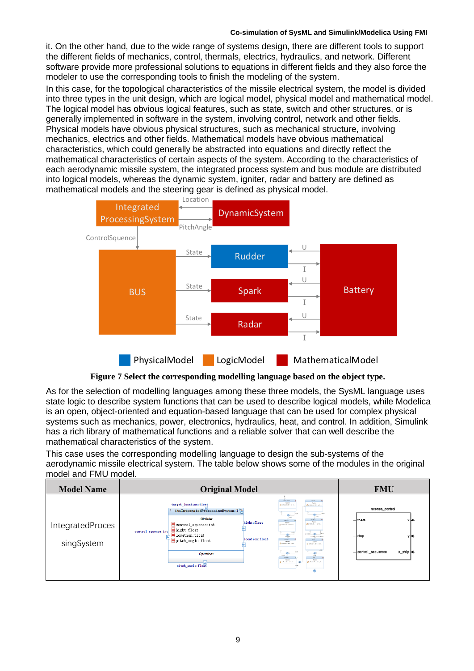it. On the other hand, due to the wide range of systems design, there are different tools to support the different fields of mechanics, control, thermals, electrics, hydraulics, and network. Different software provide more professional solutions to equations in different fields and they also force the modeler to use the corresponding tools to finish the modeling of the system.

In this case, for the topological characteristics of the missile electrical system, the model is divided into three types in the unit design, which are logical model, physical model and mathematical model. The logical model has obvious logical features, such as state, switch and other structures, or is generally implemented in software in the system, involving control, network and other fields. Physical models have obvious physical structures, such as mechanical structure, involving mechanics, electrics and other fields. Mathematical models have obvious mathematical characteristics, which could generally be abstracted into equations and directly reflect the mathematical characteristics of certain aspects of the system. According to the characteristics of each aerodynamic missile system, the integrated process system and bus module are distributed into logical models, whereas the dynamic system, igniter, radar and battery are defined as mathematical models and the steering gear is defined as physical model.

![](_page_6_Figure_3.jpeg)

**Figure 7 Select the corresponding modelling language based on the object type.**

As for the selection of modelling languages among these three models, the SysML language uses state logic to describe system functions that can be used to describe logical models, while Modelica is an open, object-oriented and equation-based language that can be used for complex physical systems such as mechanics, power, electronics, hydraulics, heat, and control. In addition, Simulink has a rich library of mathematical functions and a reliable solver that can well describe the mathematical characteristics of the system.

This case uses the corresponding modelling language to design the sub-systems of the aerodynamic missile electrical system. The table below shows some of the modules in the original model and FMU model.

| <b>Model Name</b>              | <b>Original Model</b>                                                                                                                                                                                                                                                                                                                                                                                                                                                                                                                                                                                                                                                                                                                                                | <b>FMU</b>                                                               |
|--------------------------------|----------------------------------------------------------------------------------------------------------------------------------------------------------------------------------------------------------------------------------------------------------------------------------------------------------------------------------------------------------------------------------------------------------------------------------------------------------------------------------------------------------------------------------------------------------------------------------------------------------------------------------------------------------------------------------------------------------------------------------------------------------------------|--------------------------------------------------------------------------|
| IntegratedProces<br>singSystem | <b>Cherg, Cherg</b><br>Applies<br><b>Resident</b><br>target_location:float<br><b>Burdeschott:</b> His<br>Burbook 201 MD<br>itsIntegratedProcessingSystem: I <sup>0</sup> <sub>3</sub><br>Attributes<br><b>JOINTHE</b><br><b>A RAINFORM</b><br>hight:float<br><b>Record</b><br>Asstore<br>$\blacksquare$ control_squence: int<br>distance, solo<br>Burbea's privers<br>hight: float<br>control_squence: int<br>location: float<br><b>Sheddi Pincalan</b><br>location: float<br>$\blacksquare$ pitch_angle:float<br>sident:<br>$n = 1$<br><b>Register</b><br><b>Auction</b><br>Berbrack IN  oct<br>Quebects 80 und<br>Operations<br>DWA.<br><b>ASSOCIATE</b><br><b>Country</b><br><b>Carried</b><br>Bertwalt- it is a<br>artwait, crowle<br>pitch_angle:float<br>$-20$ | scenes_control<br>$-$ theta<br>$-$ stop<br>x_ship k4<br>control_sequence |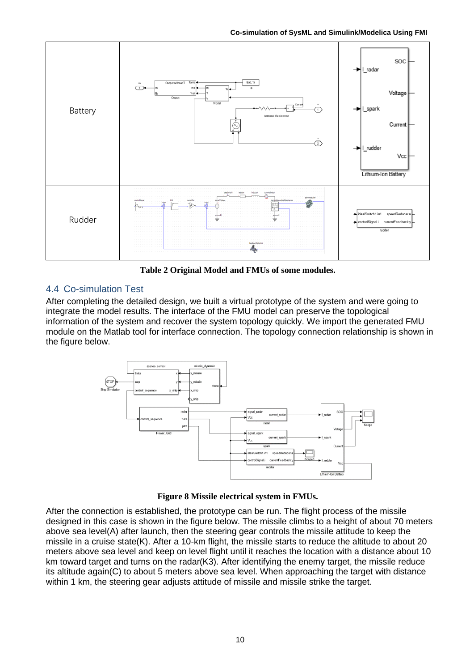**Co-simulation of SysML and Simulink/Modelica Using FMI**

![](_page_7_Figure_1.jpeg)

**Table 2 Original Model and FMUs of some modules.**

## 4.4 Co-simulation Test

After completing the detailed design, we built a virtual prototype of the system and were going to integrate the model results. The interface of the FMU model can preserve the topological information of the system and recover the system topology quickly. We import the generated FMU module on the Matlab tool for interface connection. The topology connection relationship is shown in the figure below.

![](_page_7_Figure_5.jpeg)

**Figure 8 Missile electrical system in FMUs.**

After the connection is established, the prototype can be run. The flight process of the missile designed in this case is shown in the figure below. The missile climbs to a height of about 70 meters above sea level(A) after launch, then the steering gear controls the missile attitude to keep the missile in a cruise state(K). After a 10-km flight, the missile starts to reduce the altitude to about 20 meters above sea level and keep on level flight until it reaches the location with a distance about 10 km toward target and turns on the radar(K3). After identifying the enemy target, the missile reduce its altitude again(C) to about 5 meters above sea level. When approaching the target with distance within 1 km, the steering gear adjusts attitude of missile and missile strike the target.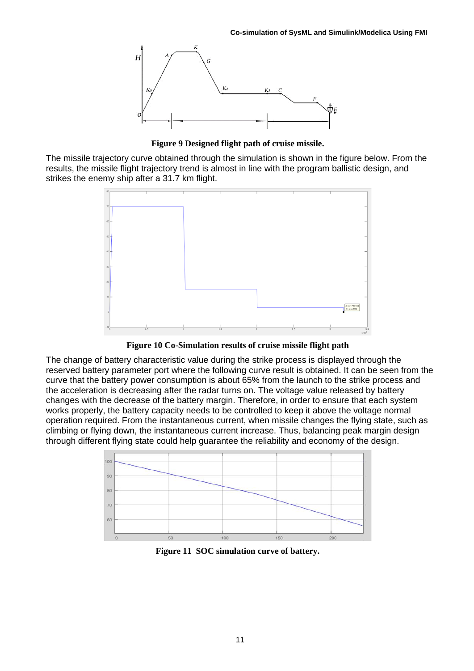![](_page_8_Figure_1.jpeg)

**Figure 9 Designed flight path of cruise missile.**

The missile trajectory curve obtained through the simulation is shown in the figure below. From the results, the missile flight trajectory trend is almost in line with the program ballistic design, and strikes the enemy ship after a 31.7 km flight.

![](_page_8_Figure_4.jpeg)

**Figure 10 Co-Simulation results of cruise missile flight path**

The change of battery characteristic value during the strike process is displayed through the reserved battery parameter port where the following curve result is obtained. It can be seen from the curve that the battery power consumption is about 65% from the launch to the strike process and the acceleration is decreasing after the radar turns on. The voltage value released by battery changes with the decrease of the battery margin. Therefore, in order to ensure that each system works properly, the battery capacity needs to be controlled to keep it above the voltage normal operation required. From the instantaneous current, when missile changes the flying state, such as climbing or flying down, the instantaneous current increase. Thus, balancing peak margin design through different flying state could help guarantee the reliability and economy of the design.

![](_page_8_Figure_7.jpeg)

**Figure 11 SOC simulation curve of battery.**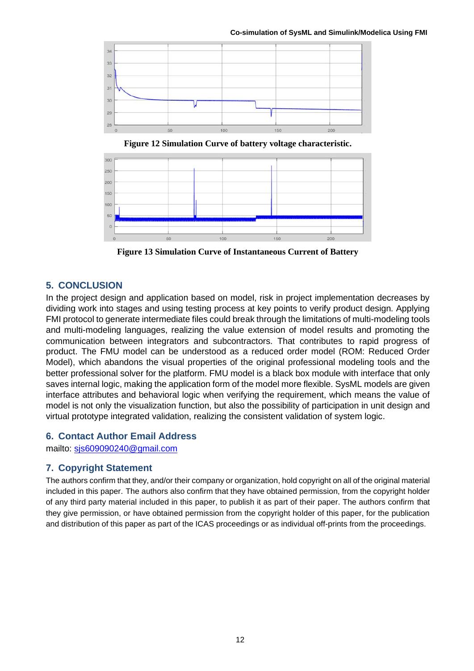![](_page_9_Figure_1.jpeg)

**Figure 12 Simulation Curve of battery voltage characteristic.**

![](_page_9_Figure_3.jpeg)

**Figure 13 Simulation Curve of Instantaneous Current of Battery**

## **5. CONCLUSION**

In the project design and application based on model, risk in project implementation decreases by dividing work into stages and using testing process at key points to verify product design. Applying FMI protocol to generate intermediate files could break through the limitations of multi-modeling tools and multi-modeling languages, realizing the value extension of model results and promoting the communication between integrators and subcontractors. That contributes to rapid progress of product. The FMU model can be understood as a reduced order model (ROM: Reduced Order Model), which abandons the visual properties of the original professional modeling tools and the better professional solver for the platform. FMU model is a black box module with interface that only saves internal logic, making the application form of the model more flexible. SysML models are given interface attributes and behavioral logic when verifying the requirement, which means the value of model is not only the visualization function, but also the possibility of participation in unit design and virtual prototype integrated validation, realizing the consistent validation of system logic.

## **6. Contact Author Email Address**

mailto: [sjs609090240@gmail.com](mailto:sjs609090240@gmail.com)

## **7. Copyright Statement**

The authors confirm that they, and/or their company or organization, hold copyright on all of the original material included in this paper. The authors also confirm that they have obtained permission, from the copyright holder of any third party material included in this paper, to publish it as part of their paper. The authors confirm that they give permission, or have obtained permission from the copyright holder of this paper, for the publication and distribution of this paper as part of the ICAS proceedings or as individual off-prints from the proceedings.